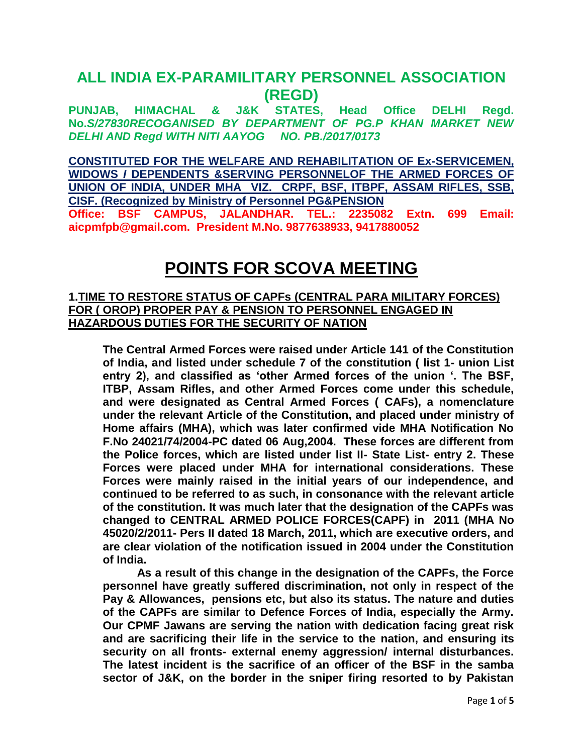# **ALL INDIA EX-PARAMILITARY PERSONNEL ASSOCIATION (REGD)**

**PUNJAB, HIMACHAL & J&K STATES, Head Office DELHI Regd. No.***S/27830RECOGANISED BY DEPARTMENT OF PG.P KHAN MARKET NEW DELHI AND Regd WITH NITI AAYOG NO. PB./2017/0173*

**CONSTITUTED FOR THE WELFARE AND REHABILITATION OF Ex-SERVICEMEN, WIDOWS** *I* **DEPENDENTS &SERVING PERSONNELOF THE ARMED FORCES OF UNION OF INDIA, UNDER MHA VIZ. CRPF, BSF, ITBPF, ASSAM RIFLES, SSB, CISF. (Recognized by Ministry of Personnel PG&PENSION Office: BSF CAMPUS, JALANDHAR. TEL.: 2235082 Extn. 699 Email: aicpmfpb@gmail.com. President M.No. 9877638933, 9417880052**

# **POINTS FOR SCOVA MEETING**

#### **1.TIME TO RESTORE STATUS OF CAPFs (CENTRAL PARA MILITARY FORCES) FOR ( OROP) PROPER PAY & PENSION TO PERSONNEL ENGAGED IN HAZARDOUS DUTIES FOR THE SECURITY OF NATION**

**The Central Armed Forces were raised under Article 141 of the Constitution of India, and listed under schedule 7 of the constitution ( list 1- union List entry 2), and classified as 'other Armed forces of the union '. The BSF, ITBP, Assam Rifles, and other Armed Forces come under this schedule, and were designated as Central Armed Forces ( CAFs), a nomenclature under the relevant Article of the Constitution, and placed under ministry of Home affairs (MHA), which was later confirmed vide MHA Notification No F.No 24021/74/2004-PC dated 06 Aug,2004. These forces are different from the Police forces, which are listed under list II- State List- entry 2. These Forces were placed under MHA for international considerations. These Forces were mainly raised in the initial years of our independence, and continued to be referred to as such, in consonance with the relevant article of the constitution. It was much later that the designation of the CAPFs was changed to CENTRAL ARMED POLICE FORCES(CAPF) in 2011 (MHA No 45020/2/2011- Pers II dated 18 March, 2011, which are executive orders, and are clear violation of the notification issued in 2004 under the Constitution of India.**

**As a result of this change in the designation of the CAPFs, the Force personnel have greatly suffered discrimination, not only in respect of the Pay & Allowances, pensions etc, but also its status. The nature and duties of the CAPFs are similar to Defence Forces of India, especially the Army. Our CPMF Jawans are serving the nation with dedication facing great risk and are sacrificing their life in the service to the nation, and ensuring its security on all fronts- external enemy aggression/ internal disturbances. The latest incident is the sacrifice of an officer of the BSF in the samba sector of J&K, on the border in the sniper firing resorted to by Pakistan**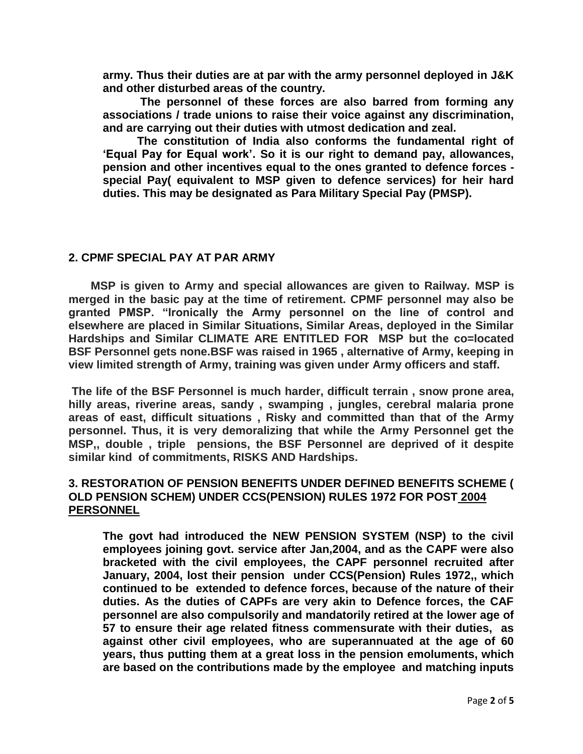**army. Thus their duties are at par with the army personnel deployed in J&K and other disturbed areas of the country.**

**The personnel of these forces are also barred from forming any associations / trade unions to raise their voice against any discrimination, and are carrying out their duties with utmost dedication and zeal.** 

**The constitution of India also conforms the fundamental right of 'Equal Pay for Equal work'. So it is our right to demand pay, allowances, pension and other incentives equal to the ones granted to defence forces special Pay( equivalent to MSP given to defence services) for heir hard duties. This may be designated as Para Military Special Pay (PMSP).** 

#### **2. CPMF SPECIAL PAY AT PAR ARMY**

 **MSP is given to Army and special allowances are given to Railway. MSP is merged in the basic pay at the time of retirement. CPMF personnel may also be granted PMSP. "Ironically the Army personnel on the line of control and elsewhere are placed in Similar Situations, Similar Areas, deployed in the Similar Hardships and Similar CLIMATE ARE ENTITLED FOR MSP but the co=located BSF Personnel gets none.BSF was raised in 1965 , alternative of Army, keeping in view limited strength of Army, training was given under Army officers and staff.**

**The life of the BSF Personnel is much harder, difficult terrain , snow prone area, hilly areas, riverine areas, sandy , swamping , jungles, cerebral malaria prone areas of east, difficult situations , Risky and committed than that of the Army personnel. Thus, it is very demoralizing that while the Army Personnel get the MSP,, double , triple pensions, the BSF Personnel are deprived of it despite similar kind of commitments, RISKS AND Hardships.**

# **3. RESTORATION OF PENSION BENEFITS UNDER DEFINED BENEFITS SCHEME ( OLD PENSION SCHEM) UNDER CCS(PENSION) RULES 1972 FOR POST 2004 PERSONNEL**

**The govt had introduced the NEW PENSION SYSTEM (NSP) to the civil employees joining govt. service after Jan,2004, and as the CAPF were also bracketed with the civil employees, the CAPF personnel recruited after January, 2004, lost their pension under CCS(Pension) Rules 1972,, which continued to be extended to defence forces, because of the nature of their duties. As the duties of CAPFs are very akin to Defence forces, the CAF personnel are also compulsorily and mandatorily retired at the lower age of 57 to ensure their age related fitness commensurate with their duties, as against other civil employees, who are superannuated at the age of 60 years, thus putting them at a great loss in the pension emoluments, which are based on the contributions made by the employee and matching inputs**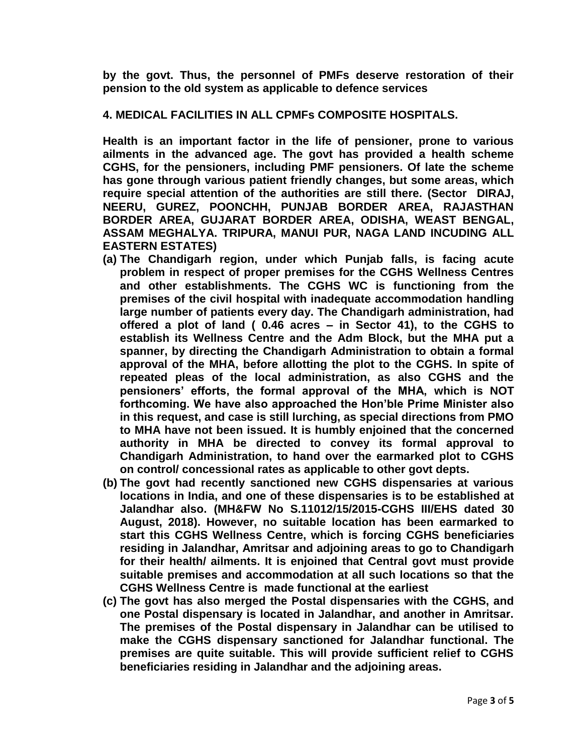**by the govt. Thus, the personnel of PMFs deserve restoration of their pension to the old system as applicable to defence services** 

#### **4. MEDICAL FACILITIES IN ALL CPMFs COMPOSITE HOSPITALS.**

**Health is an important factor in the life of pensioner, prone to various ailments in the advanced age. The govt has provided a health scheme CGHS, for the pensioners, including PMF pensioners. Of late the scheme has gone through various patient friendly changes, but some areas, which require special attention of the authorities are still there. (Sector DIRAJ, NEERU, GUREZ, POONCHH, PUNJAB BORDER AREA, RAJASTHAN BORDER AREA, GUJARAT BORDER AREA, ODISHA, WEAST BENGAL, ASSAM MEGHALYA. TRIPURA, MANUI PUR, NAGA LAND INCUDING ALL EASTERN ESTATES)**

- **(a) The Chandigarh region, under which Punjab falls, is facing acute problem in respect of proper premises for the CGHS Wellness Centres and other establishments. The CGHS WC is functioning from the premises of the civil hospital with inadequate accommodation handling large number of patients every day. The Chandigarh administration, had offered a plot of land ( 0.46 acres – in Sector 41), to the CGHS to establish its Wellness Centre and the Adm Block, but the MHA put a spanner, by directing the Chandigarh Administration to obtain a formal approval of the MHA, before allotting the plot to the CGHS. In spite of repeated pleas of the local administration, as also CGHS and the pensioners' efforts, the formal approval of the MHA, which is NOT forthcoming. We have also approached the Hon'ble Prime Minister also in this request, and case is still lurching, as special directions from PMO to MHA have not been issued. It is humbly enjoined that the concerned authority in MHA be directed to convey its formal approval to Chandigarh Administration, to hand over the earmarked plot to CGHS on control/ concessional rates as applicable to other govt depts.**
- **(b) The govt had recently sanctioned new CGHS dispensaries at various locations in India, and one of these dispensaries is to be established at Jalandhar also. (MH&FW No S.11012/15/2015-CGHS III/EHS dated 30 August, 2018). However, no suitable location has been earmarked to start this CGHS Wellness Centre, which is forcing CGHS beneficiaries residing in Jalandhar, Amritsar and adjoining areas to go to Chandigarh for their health/ ailments. It is enjoined that Central govt must provide suitable premises and accommodation at all such locations so that the CGHS Wellness Centre is made functional at the earliest**
- **(c) The govt has also merged the Postal dispensaries with the CGHS, and one Postal dispensary is located in Jalandhar, and another in Amritsar. The premises of the Postal dispensary in Jalandhar can be utilised to make the CGHS dispensary sanctioned for Jalandhar functional. The premises are quite suitable. This will provide sufficient relief to CGHS beneficiaries residing in Jalandhar and the adjoining areas.**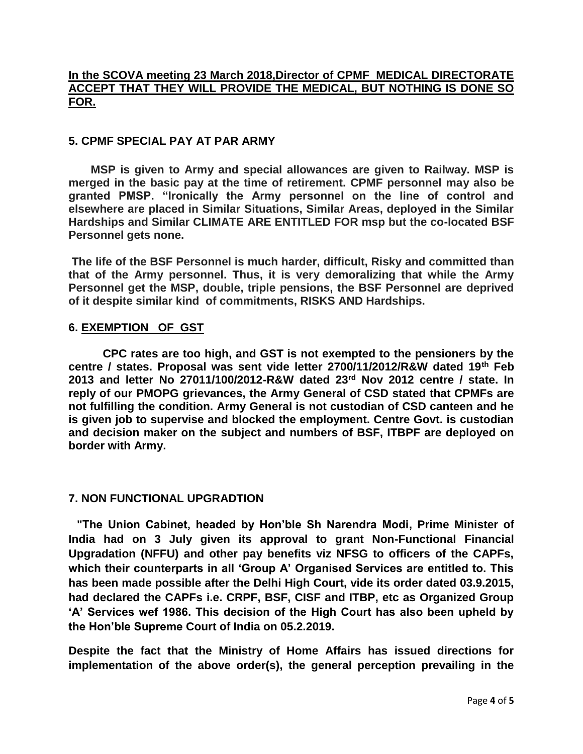# **In the SCOVA meeting 23 March 2018,Director of CPMF MEDICAL DIRECTORATE ACCEPT THAT THEY WILL PROVIDE THE MEDICAL, BUT NOTHING IS DONE SO FOR.**

### **5. CPMF SPECIAL PAY AT PAR ARMY**

 **MSP is given to Army and special allowances are given to Railway. MSP is merged in the basic pay at the time of retirement. CPMF personnel may also be granted PMSP. "Ironically the Army personnel on the line of control and elsewhere are placed in Similar Situations, Similar Areas, deployed in the Similar Hardships and Similar CLIMATE ARE ENTITLED FOR msp but the co-located BSF Personnel gets none.**

**The life of the BSF Personnel is much harder, difficult, Risky and committed than that of the Army personnel. Thus, it is very demoralizing that while the Army Personnel get the MSP, double, triple pensions, the BSF Personnel are deprived of it despite similar kind of commitments, RISKS AND Hardships.**

#### **6. EXEMPTION OF GST**

**CPC rates are too high, and GST is not exempted to the pensioners by the centre / states. Proposal was sent vide letter 2700/11/2012/R&W dated 19th Feb 2013 and letter No 27011/100/2012-R&W dated 23rd Nov 2012 centre / state. In reply of our PMOPG grievances, the Army General of CSD stated that CPMFs are not fulfilling the condition. Army General is not custodian of CSD canteen and he is given job to supervise and blocked the employment. Centre Govt. is custodian and decision maker on the subject and numbers of BSF, ITBPF are deployed on border with Army.**

#### **7. NON FUNCTIONAL UPGRADTION**

**"The Union Cabinet, headed by Hon'ble Sh Narendra Modi, Prime Minister of India had on 3 July given its approval to grant Non-Functional Financial Upgradation (NFFU) and other pay benefits viz NFSG to officers of the CAPFs, which their counterparts in all 'Group A' Organised Services are entitled to. This has been made possible after the Delhi High Court, vide its order dated 03.9.2015, had declared the CAPFs i.e. CRPF, BSF, CISF and ITBP, etc as Organized Group 'A' Services wef 1986. This decision of the High Court has also been upheld by the Hon'ble Supreme Court of India on 05.2.2019.**

**Despite the fact that the Ministry of Home Affairs has issued directions for implementation of the above order(s), the general perception prevailing in the**